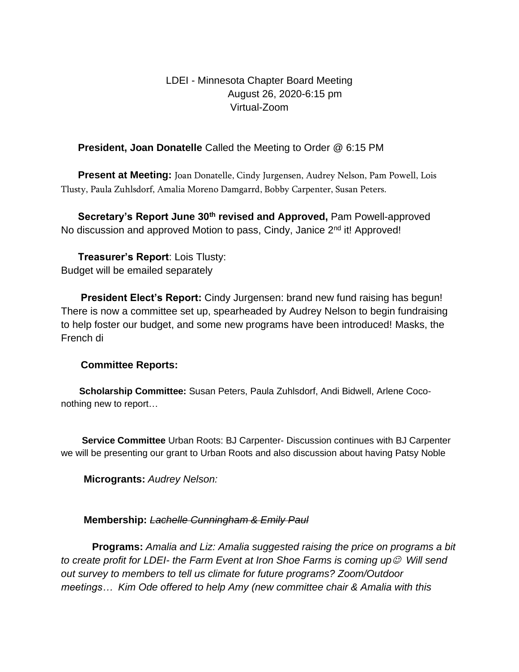LDEI - Minnesota Chapter Board Meeting August 26, 2020-6:15 pm Virtual-Zoom

## **President, Joan Donatelle** Called the Meeting to Order @ 6:15 PM

**Present at Meeting:** Joan Donatelle, Cindy Jurgensen, Audrey Nelson, Pam Powell, Lois Tlusty, Paula Zuhlsdorf, Amalia Moreno Damgarrd, Bobby Carpenter, Susan Peters.

 **Secretary's Report June 30th revised and Approved,** Pam Powell-approved No discussion and approved Motion to pass, Cindy, Janice 2<sup>nd</sup> it! Approved!

 **Treasurer's Report**: Lois Tlusty: Budget will be emailed separately

 **President Elect's Report:** Cindy Jurgensen: brand new fund raising has begun! There is now a committee set up, spearheaded by Audrey Nelson to begin fundraising to help foster our budget, and some new programs have been introduced! Masks, the French di

## **Committee Reports:**

 **Scholarship Committee:** Susan Peters, Paula Zuhlsdorf, Andi Bidwell, Arlene Coconothing new to report…

 **Service Committee** Urban Roots: BJ Carpenter- Discussion continues with BJ Carpenter we will be presenting our grant to Urban Roots and also discussion about having Patsy Noble

 **Microgrants:** *Audrey Nelson:* 

## **Membership:** *Lachelle Cunningham & Emily Paul*

 **Programs:** *Amalia and Liz: Amalia suggested raising the price on programs a bit to create profit for LDEI-* the Farm Event at Iron Shoe Farms is coming up<sup>©</sup> Will send *out survey to members to tell us climate for future programs? Zoom/Outdoor meetings… Kim Ode offered to help Amy (new committee chair & Amalia with this*